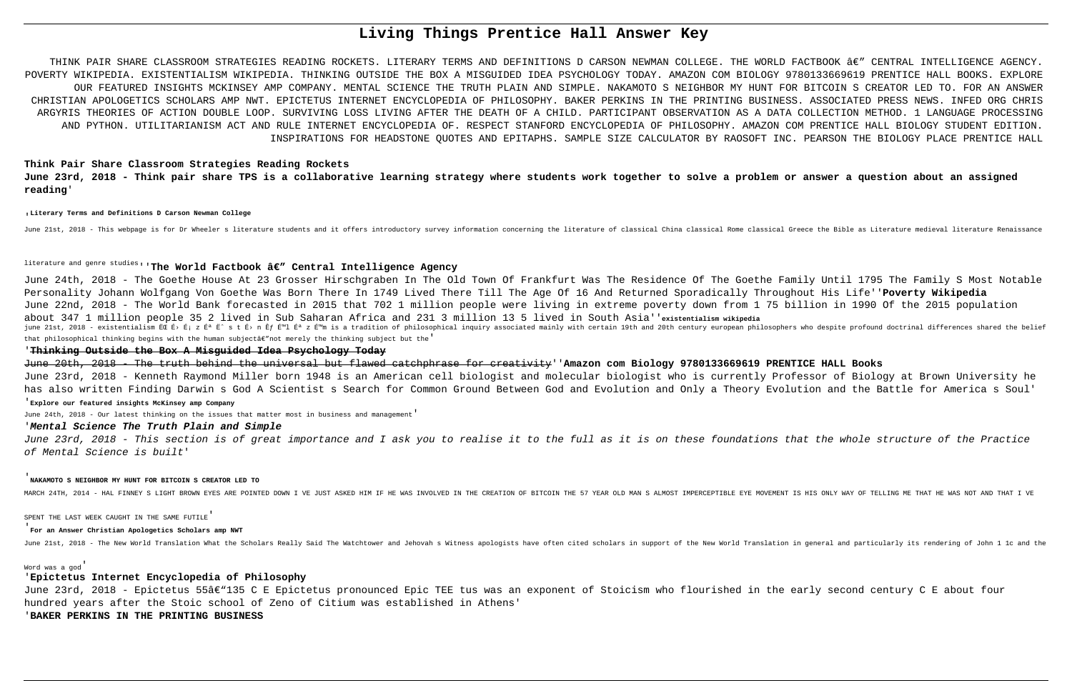# **Living Things Prentice Hall Answer Key**

THINK PAIR SHARE CLASSROOM STRATEGIES READING ROCKETS. LITERARY TERMS AND DEFINITIONS D CARSON NEWMAN COLLEGE. THE WORLD FACTBOOK â€" CENTRAL INTELLIGENCE AGENCY. POVERTY WIKIPEDIA. EXISTENTIALISM WIKIPEDIA. THINKING OUTSIDE THE BOX A MISGUIDED IDEA PSYCHOLOGY TODAY. AMAZON COM BIOLOGY 9780133669619 PRENTICE HALL BOOKS. EXPLORE OUR FEATURED INSIGHTS MCKINSEY AMP COMPANY. MENTAL SCIENCE THE TRUTH PLAIN AND SIMPLE. NAKAMOTO S NEIGHBOR MY HUNT FOR BITCOIN S CREATOR LED TO. FOR AN ANSWER CHRISTIAN APOLOGETICS SCHOLARS AMP NWT. EPICTETUS INTERNET ENCYCLOPEDIA OF PHILOSOPHY. BAKER PERKINS IN THE PRINTING BUSINESS. ASSOCIATED PRESS NEWS. INFED ORG CHRIS ARGYRIS THEORIES OF ACTION DOUBLE LOOP. SURVIVING LOSS LIVING AFTER THE DEATH OF A CHILD. PARTICIPANT OBSERVATION AS A DATA COLLECTION METHOD. 1 LANGUAGE PROCESSING AND PYTHON. UTILITARIANISM ACT AND RULE INTERNET ENCYCLOPEDIA OF. RESPECT STANFORD ENCYCLOPEDIA OF PHILOSOPHY. AMAZON COM PRENTICE HALL BIOLOGY STUDENT EDITION. INSPIRATIONS FOR HEADSTONE QUOTES AND EPITAPHS. SAMPLE SIZE CALCULATOR BY RAOSOFT INC. PEARSON THE BIOLOGY PLACE PRENTICE HALL

June 24th, 2018 - The Goethe House At 23 Grosser Hirschgraben In The Old Town Of Frankfurt Was The Residence Of The Goethe Family Until 1795 The Family S Most Notable Personality Johann Wolfgang Von Goethe Was Born There In 1749 Lived There Till The Age Of 16 And Returned Sporadically Throughout His Life''**Poverty Wikipedia** June 22nd, 2018 - The World Bank forecasted in 2015 that 702 1 million people were living in extreme poverty down from 1 75 billion in 1990 Of the 2015 population about 347 1 million people 35 2 lived in Sub Saharan Africa and 231 3 million 13 5 lived in South Asia''**existentialism wikipedia** june 21st, 2018 - existentialism ËC É> É; z É<sup>3</sup> Ë^ s t É> n Êf É<sup>m</sup>l É<sup>3</sup> z É<sup>m</sup>m is a tradition of philosophical inquiry associated mainly with certain 19th and 20th century european philosophers who despite profound doc that philosophical thinking begins with the human subjectâe"not merely the thinking subject but the'

# **Think Pair Share Classroom Strategies Reading Rockets June 23rd, 2018 - Think pair share TPS is a collaborative learning strategy where students work together to solve a problem or answer a question about an assigned reading**'

#### '**Literary Terms and Definitions D Carson Newman College**

June 21st, 2018 - This webpage is for Dr Wheeler s literature students and it offers introductory survey information concerning the literature of classical China classical Rome classical Greece the Bible as Literature medi

# literature and genre studies<sub>'</sub>'The World Factbook â€" Central Intelligence Agency

June 23rd, 2018 - Epictetus 55â€"135 C E Epictetus pronounced Epic TEE tus was an exponent of Stoicism who flourished in the early second century C E about four hundred years after the Stoic school of Zeno of Citium was established in Athens'

## '**Thinking Outside the Box A Misguided Idea Psychology Today**

June 20th, 2018 - The truth behind the universal but flawed catchphrase for creativity''**Amazon com Biology 9780133669619 PRENTICE HALL Books** June 23rd, 2018 - Kenneth Raymond Miller born 1948 is an American cell biologist and molecular biologist who is currently Professor of Biology at Brown University he has also written Finding Darwin s God A Scientist s Search for Common Ground Between God and Evolution and Only a Theory Evolution and the Battle for America s Soul'

### '**Explore our featured insights McKinsey amp Company**

June 24th, 2018 - Our latest thinking on the issues that matter most in business and management'

## '**Mental Science The Truth Plain and Simple**

June 23rd, 2018 - This section is of great importance and I ask you to realise it to the full as it is on these foundations that the whole structure of the Practice of Mental Science is built'

## '**NAKAMOTO S NEIGHBOR MY HUNT FOR BITCOIN S CREATOR LED TO**

MARCH 24TH, 2014 - HAL FINNEY S LIGHT BROWN EYES ARE POINTED DOWN I VE JUST ASKED HIM IF HE WAS INVOLVED IN THE CREATION OF BITCOIN THE 57 YEAR OLD MAN S ALMOST IMPERCEPTIBLE EYE MOVEMENT IS HIS ONLY WAY OF TELLING ME THAT

SPENT THE LAST WEEK CAUGHT IN THE SAME FUTILE'

# '**For an Answer Christian Apologetics Scholars amp NWT**

June 21st, 2018 - The New World Translation What the Scholars Really Said The Watchtower and Jehovah s Witness apologists have often cited scholars in support of the New World Translation in general and particularly its re

### Word was a god'

# '**Epictetus Internet Encyclopedia of Philosophy**

'**BAKER PERKINS IN THE PRINTING BUSINESS**